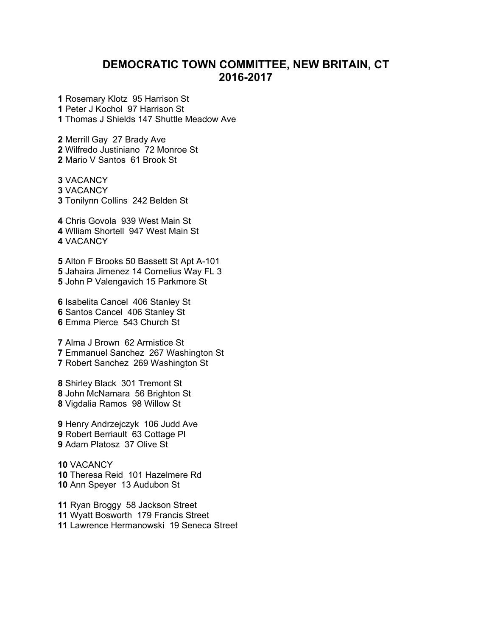## **DEMOCRATIC TOWN COMMITTEE, NEW BRITAIN, CT 2016-2017**

 Rosemary Klotz 95 Harrison St Peter J Kochol 97 Harrison St Thomas J Shields 147 Shuttle Meadow Ave

Merrill Gay 27 Brady Ave Wilfredo Justiniano 72 Monroe St Mario V Santos 61 Brook St

VACANCY VACANCY Tonilynn Collins 242 Belden St

Chris Govola 939 West Main St Wlliam Shortell 947 West Main St VACANCY

Alton F Brooks 50 Bassett St Apt A-101 Jahaira Jimenez 14 Cornelius Way FL 3 John P Valengavich 15 Parkmore St

Isabelita Cancel 406 Stanley St Santos Cancel 406 Stanley St Emma Pierce 543 Church St

Alma J Brown 62 Armistice St Emmanuel Sanchez 267 Washington St Robert Sanchez 269 Washington St

Shirley Black 301 Tremont St John McNamara 56 Brighton St Vigdalia Ramos 98 Willow St

Henry Andrzejczyk 106 Judd Ave Robert Berriault 63 Cottage Pl Adam Platosz 37 Olive St

VACANCY Theresa Reid 101 Hazelmere Rd Ann Speyer 13 Audubon St

Ryan Broggy 58 Jackson Street Wyatt Bosworth 179 Francis Street Lawrence Hermanowski 19 Seneca Street